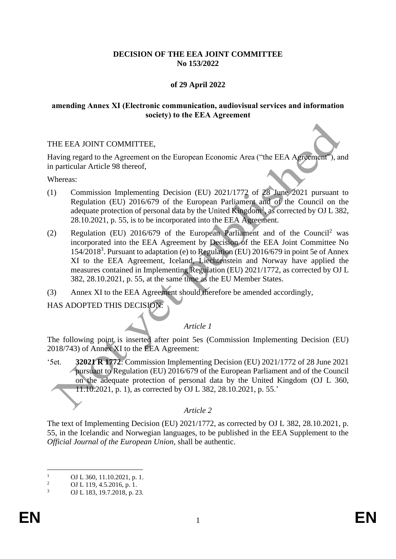# **DECISION OF THE EEA JOINT COMMITTEE No 153/2022**

# **of 29 April 2022**

## **amending Annex XI (Electronic communication, audiovisual services and information society) to the EEA Agreement**

## THE EEA JOINT COMMITTEE,

Having regard to the Agreement on the European Economic Area ("the EEA Agreement"), and in particular Article 98 thereof,

Whereas:

- (1) Commission Implementing Decision (EU) 2021/1772 of 28 June 2021 pursuant to Regulation (EU) 2016/679 of the European Parliament and of the Council on the adequate protection of personal data by the United Kingdom<sup>1</sup>, as corrected by OJ L 382, 28.10.2021, p. 55, is to be incorporated into the EEA Agreement.
- (2) Regulation (EU)  $2016/679$  of the European Parliament and of the Council<sup>2</sup> was incorporated into the EEA Agreement by Decision of the EEA Joint Committee No 154/2018<sup>3</sup>. Pursuant to adaptation (e) to Regulation (EU) 2016/679 in point 5e of Annex XI to the EEA Agreement, Iceland, Liechtenstein and Norway have applied the measures contained in Implementing Regulation (EU) 2021/1772, as corrected by OJ L 382, 28.10.2021, p. 55, at the same time as the EU Member States.
- (3) Annex XI to the EEA Agreement should therefore be amended accordingly,

HAS ADOPTED THIS DECISION:

## *Article 1*

The following point is inserted after point 5es (Commission Implementing Decision (EU) 2018/743) of Annex XI to the EEA Agreement:

'5et. **32021 R 1772**: Commission Implementing Decision (EU) 2021/1772 of 28 June 2021 pursuant to Regulation (EU) 2016/679 of the European Parliament and of the Council on the adequate protection of personal data by the United Kingdom (OJ L 360, 11.10.2021, p. 1), as corrected by OJ L 382, 28.10.2021, p. 55.'

## *Article 2*

The text of Implementing Decision (EU) 2021/1772, as corrected by OJ L 382, 28.10.2021, p. 55, in the Icelandic and Norwegian languages, to be published in the EEA Supplement to the *Official Journal of the European Union*, shall be authentic.

<sup>&</sup>lt;sup>1</sup> OJ L 360, 11.10.2021, p. 1.<br><sup>2</sup> OJ L 110, 4.5, 2016, p. 1.

<sup>&</sup>lt;sup>2</sup> OJ L 119, 4.5.2016, p. 1.<br>3 OJ L 122, 10.7.2018, p. 2

<sup>3</sup> OJ L 183, 19.7.2018, p. 23.